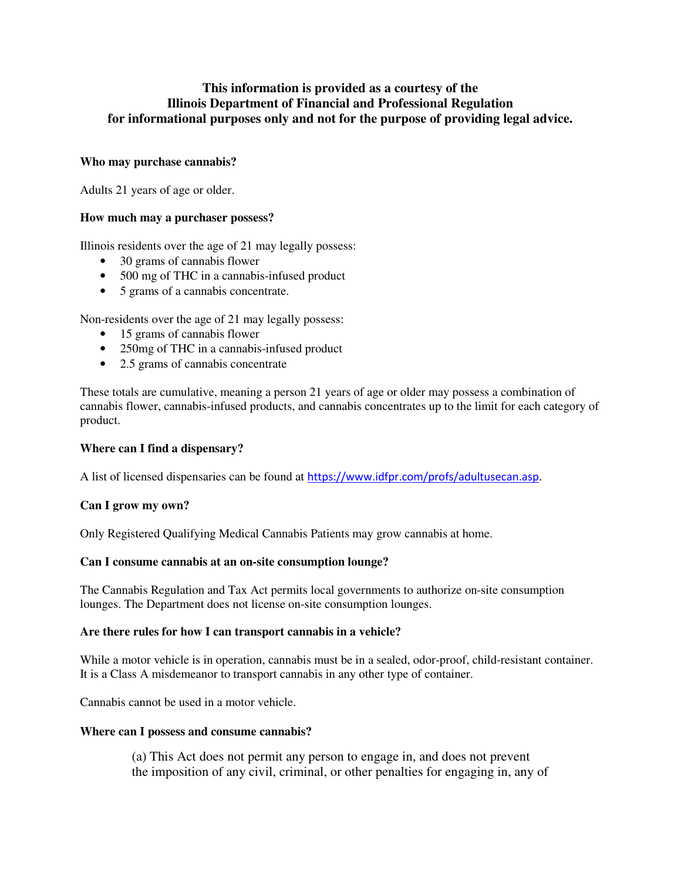# **This information is provided as a courtesy of the Illinois Department of Financial and Professional Regulation for informational purposes only and not for the purpose of providing legal advice.**

## **Who may purchase cannabis?**

Adults 21 years of age or older.

### **How much may a purchaser possess?**

Illinois residents over the age of 21 may legally possess:

- 30 grams of cannabis flower
- 500 mg of THC in a cannabis-infused product
- 5 grams of a cannabis concentrate.

Non-residents over the age of 21 may legally possess:

- 15 grams of cannabis flower
- 250mg of THC in a cannabis-infused product
- 2.5 grams of cannabis concentrate

These totals are cumulative, meaning a person 21 years of age or older may possess a combination of cannabis flower, cannabis-infused products, and cannabis concentrates up to the limit for each category of product.

### **Where can I find a dispensary?**

A list of licensed dispensaries can be found at https://www.idfpr.com/profs/adultusecan.asp.

### **Can I grow my own?**

Only Registered Qualifying Medical Cannabis Patients may grow cannabis at home.

### **Can I consume cannabis at an on-site consumption lounge?**

The Cannabis Regulation and Tax Act permits local governments to authorize on-site consumption lounges. The Department does not license on-site consumption lounges.

### **Are there rules for how I can transport cannabis in a vehicle?**

While a motor vehicle is in operation, cannabis must be in a sealed, odor-proof, child-resistant container. It is a Class A misdemeanor to transport cannabis in any other type of container.

Cannabis cannot be used in a motor vehicle.

### **Where can I possess and consume cannabis?**

(a) This Act does not permit any person to engage in, and does not prevent the imposition of any civil, criminal, or other penalties for engaging in, any of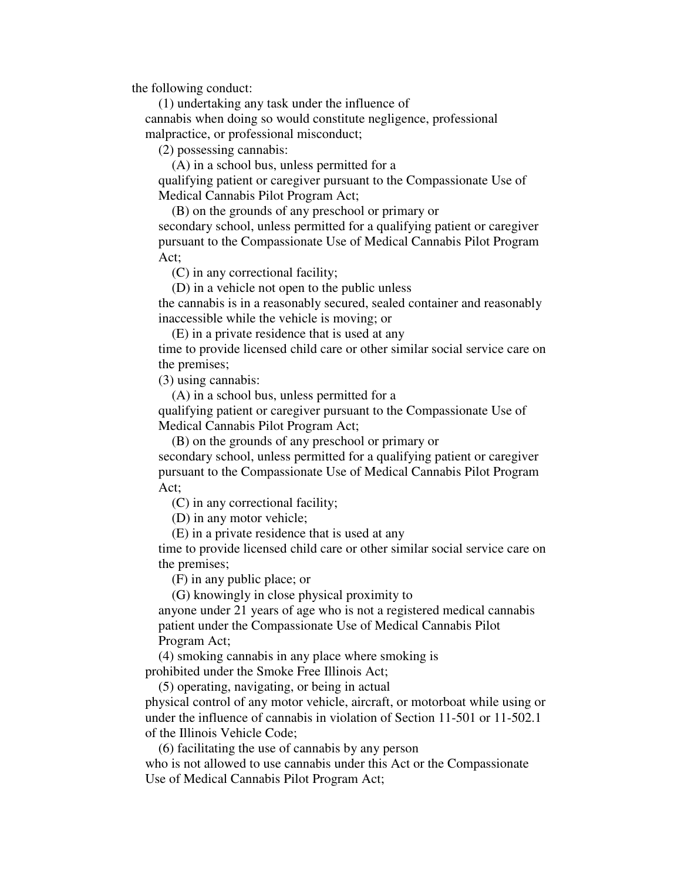the following conduct:

 (1) undertaking any task under the influence of cannabis when doing so would constitute negligence, professional malpractice, or professional misconduct;

(2) possessing cannabis:

 (A) in a school bus, unless permitted for a qualifying patient or caregiver pursuant to the Compassionate Use of Medical Cannabis Pilot Program Act;

 (B) on the grounds of any preschool or primary or secondary school, unless permitted for a qualifying patient or caregiver pursuant to the Compassionate Use of Medical Cannabis Pilot Program Act;

(C) in any correctional facility;

(D) in a vehicle not open to the public unless

the cannabis is in a reasonably secured, sealed container and reasonably inaccessible while the vehicle is moving; or

(E) in a private residence that is used at any

time to provide licensed child care or other similar social service care on the premises;

(3) using cannabis:

 (A) in a school bus, unless permitted for a qualifying patient or caregiver pursuant to the Compassionate Use of Medical Cannabis Pilot Program Act;

 (B) on the grounds of any preschool or primary or secondary school, unless permitted for a qualifying patient or caregiver pursuant to the Compassionate Use of Medical Cannabis Pilot Program Act;

(C) in any correctional facility;

(D) in any motor vehicle;

(E) in a private residence that is used at any

time to provide licensed child care or other similar social service care on the premises;

(F) in any public place; or

(G) knowingly in close physical proximity to

anyone under 21 years of age who is not a registered medical cannabis patient under the Compassionate Use of Medical Cannabis Pilot Program Act;

 (4) smoking cannabis in any place where smoking is prohibited under the Smoke Free Illinois Act;

(5) operating, navigating, or being in actual

physical control of any motor vehicle, aircraft, or motorboat while using or under the influence of cannabis in violation of Section 11-501 or 11-502.1 of the Illinois Vehicle Code;

(6) facilitating the use of cannabis by any person

who is not allowed to use cannabis under this Act or the Compassionate Use of Medical Cannabis Pilot Program Act;